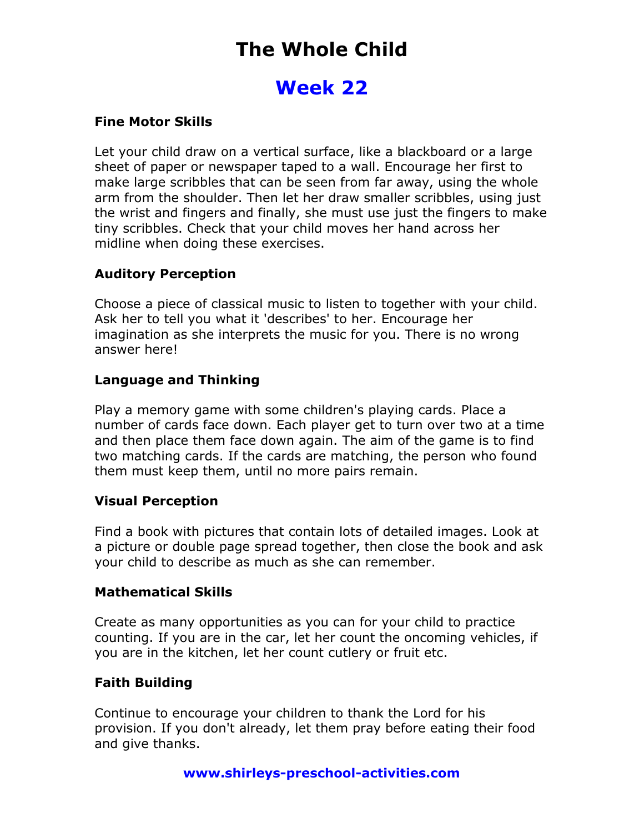# The Whole Child

### Week 22

#### Fine Motor Skills

Let your child draw on a vertical surface, like a blackboard or a large sheet of paper or newspaper taped to a wall. Encourage her first to make large scribbles that can be seen from far away, using the whole arm from the shoulder. Then let her draw smaller scribbles, using just the wrist and fingers and finally, she must use just the fingers to make tiny scribbles. Check that your child moves her hand across her midline when doing these exercises.

### Auditory Perception

Choose a piece of classical music to listen to together with your child. Ask her to tell you what it 'describes' to her. Encourage her imagination as she interprets the music for you. There is no wrong answer here!

### Language and Thinking

Play a memory game with some children's playing cards. Place a number of cards face down. Each player get to turn over two at a time and then place them face down again. The aim of the game is to find two matching cards. If the cards are matching, the person who found them must keep them, until no more pairs remain.

### Visual Perception

Find a book with pictures that contain lots of detailed images. Look at a picture or double page spread together, then close the book and ask your child to describe as much as she can remember.

#### Mathematical Skills

Create as many opportunities as you can for your child to practice counting. If you are in the car, let her count the oncoming vehicles, if you are in the kitchen, let her count cutlery or fruit etc.

### Faith Building

Continue to encourage your children to thank the Lord for his provision. If you don't already, let them pray before eating their food and give thanks.